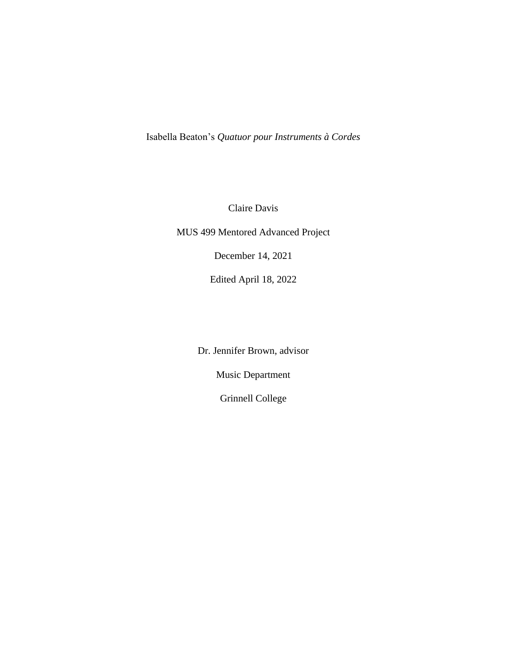Isabella Beaton's *Quatuor pour Instruments à Cordes*

Claire Davis

MUS 499 Mentored Advanced Project

December 14, 2021

Edited April 18, 2022

Dr. Jennifer Brown, advisor

Music Department

Grinnell College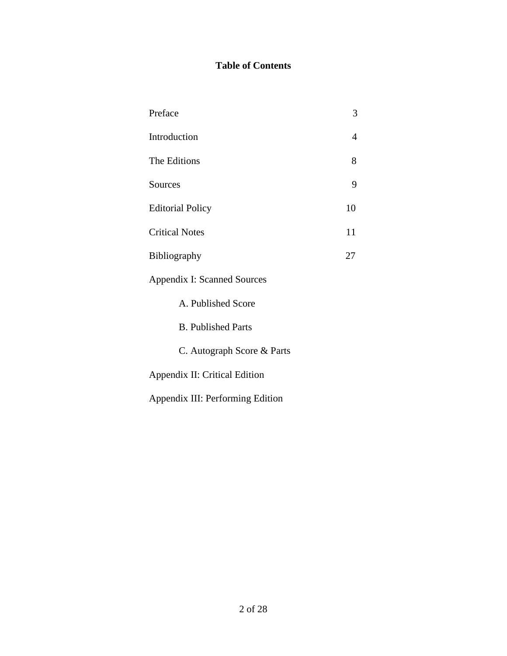# **Table of Contents**

| Preface                          | 3              |
|----------------------------------|----------------|
| Introduction                     | $\overline{4}$ |
| The Editions                     | 8              |
| Sources                          | 9              |
| <b>Editorial Policy</b>          | 10             |
| <b>Critical Notes</b>            | 11             |
| <b>Bibliography</b>              | 27             |
| Appendix I: Scanned Sources      |                |
| A. Published Score               |                |
| <b>B.</b> Published Parts        |                |
| C. Autograph Score & Parts       |                |
| Appendix II: Critical Edition    |                |
| Appendix III: Performing Edition |                |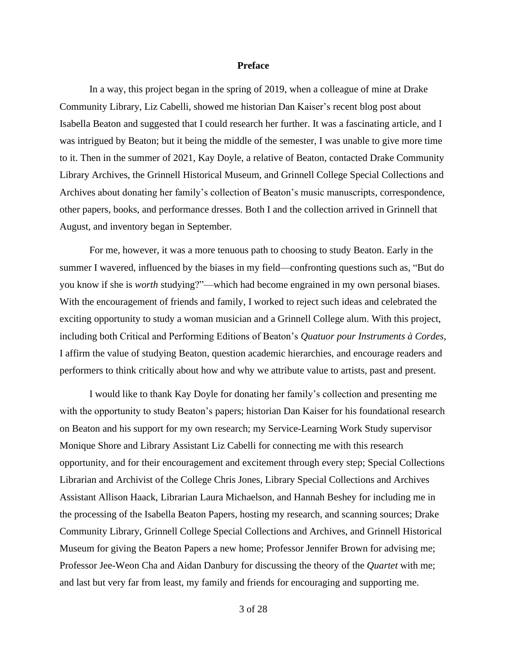#### **Preface**

In a way, this project began in the spring of 2019, when a colleague of mine at Drake Community Library, Liz Cabelli, showed me historian Dan Kaiser's recent blog post about Isabella Beaton and suggested that I could research her further. It was a fascinating article, and I was intrigued by Beaton; but it being the middle of the semester, I was unable to give more time to it. Then in the summer of 2021, Kay Doyle, a relative of Beaton, contacted Drake Community Library Archives, the Grinnell Historical Museum, and Grinnell College Special Collections and Archives about donating her family's collection of Beaton's music manuscripts, correspondence, other papers, books, and performance dresses. Both I and the collection arrived in Grinnell that August, and inventory began in September.

For me, however, it was a more tenuous path to choosing to study Beaton. Early in the summer I wavered, influenced by the biases in my field—confronting questions such as, "But do you know if she is *worth* studying?"—which had become engrained in my own personal biases. With the encouragement of friends and family, I worked to reject such ideas and celebrated the exciting opportunity to study a woman musician and a Grinnell College alum. With this project, including both Critical and Performing Editions of Beaton's *Quatuor pour Instruments à Cordes*, I affirm the value of studying Beaton, question academic hierarchies, and encourage readers and performers to think critically about how and why we attribute value to artists, past and present.

I would like to thank Kay Doyle for donating her family's collection and presenting me with the opportunity to study Beaton's papers; historian Dan Kaiser for his foundational research on Beaton and his support for my own research; my Service-Learning Work Study supervisor Monique Shore and Library Assistant Liz Cabelli for connecting me with this research opportunity, and for their encouragement and excitement through every step; Special Collections Librarian and Archivist of the College Chris Jones, Library Special Collections and Archives Assistant Allison Haack, Librarian Laura Michaelson, and Hannah Beshey for including me in the processing of the Isabella Beaton Papers, hosting my research, and scanning sources; Drake Community Library, Grinnell College Special Collections and Archives, and Grinnell Historical Museum for giving the Beaton Papers a new home; Professor Jennifer Brown for advising me; Professor Jee-Weon Cha and Aidan Danbury for discussing the theory of the *Quartet* with me; and last but very far from least, my family and friends for encouraging and supporting me.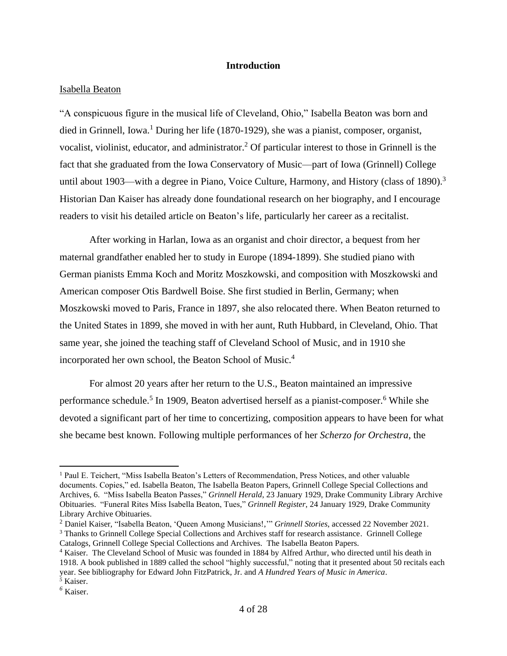### **Introduction**

#### Isabella Beaton

"A conspicuous figure in the musical life of Cleveland, Ohio," Isabella Beaton was born and died in Grinnell, Iowa.<sup>1</sup> During her life (1870-1929), she was a pianist, composer, organist, vocalist, violinist, educator, and administrator. <sup>2</sup> Of particular interest to those in Grinnell is the fact that she graduated from the Iowa Conservatory of Music—part of Iowa (Grinnell) College until about 1903—with a degree in Piano, Voice Culture, Harmony, and History (class of 1890).<sup>3</sup> Historian Dan Kaiser has already done foundational research on her biography, and I encourage readers to visit his detailed article on Beaton's life, particularly her career as a recitalist.

After working in Harlan, Iowa as an organist and choir director, a bequest from her maternal grandfather enabled her to study in Europe (1894-1899). She studied piano with German pianists Emma Koch and Moritz Moszkowski, and composition with Moszkowski and American composer Otis Bardwell Boise. She first studied in Berlin, Germany; when Moszkowski moved to Paris, France in 1897, she also relocated there. When Beaton returned to the United States in 1899, she moved in with her aunt, Ruth Hubbard, in Cleveland, Ohio. That same year, she joined the teaching staff of Cleveland School of Music, and in 1910 she incorporated her own school, the Beaton School of Music.<sup>4</sup>

For almost 20 years after her return to the U.S., Beaton maintained an impressive performance schedule.<sup>5</sup> In 1909, Beaton advertised herself as a pianist-composer.<sup>6</sup> While she devoted a significant part of her time to concertizing, composition appears to have been for what she became best known. Following multiple performances of her *Scherzo for Orchestra*, the

<sup>1</sup> Paul E. Teichert, "Miss Isabella Beaton's Letters of Recommendation, Press Notices, and other valuable documents. Copies," ed. Isabella Beaton, The Isabella Beaton Papers, Grinnell College Special Collections and Archives, 6. "Miss Isabella Beaton Passes," *Grinnell Herald*, 23 January 1929, Drake Community Library Archive Obituaries. "Funeral Rites Miss Isabella Beaton, Tues," *Grinnell Register*, 24 January 1929, Drake Community Library Archive Obituaries.

<sup>2</sup> Daniel Kaiser, "Isabella Beaton, 'Queen Among Musicians!,'" *Grinnell Stories*, accessed 22 November 2021.

<sup>&</sup>lt;sup>3</sup> Thanks to Grinnell College Special Collections and Archives staff for research assistance. Grinnell College Catalogs, Grinnell College Special Collections and Archives. The Isabella Beaton Papers.

<sup>4</sup> Kaiser. The Cleveland School of Music was founded in 1884 by Alfred Arthur, who directed until his death in 1918. A book published in 1889 called the school "highly successful," noting that it presented about 50 recitals each year. See bibliography for Edward John FitzPatrick, Jr. and *A Hundred Years of Music in America*. *<sup>5</sup>* Kaiser.

*<sup>6</sup>* Kaiser.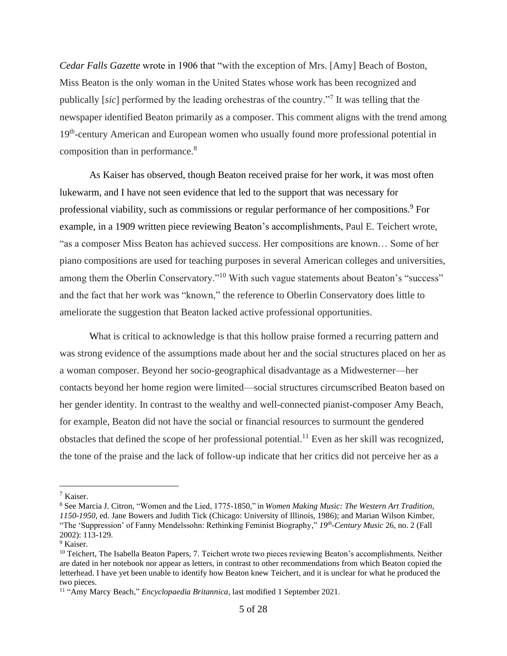*Cedar Falls Gazette* wrote in 1906 that "with the exception of Mrs. [Amy] Beach of Boston, Miss Beaton is the only woman in the United States whose work has been recognized and publically [*sic*] performed by the leading orchestras of the country."<sup>7</sup> It was telling that the newspaper identified Beaton primarily as a composer. This comment aligns with the trend among 19<sup>th</sup>-century American and European women who usually found more professional potential in composition than in performance.<sup>8</sup>

As Kaiser has observed, though Beaton received praise for her work, it was most often lukewarm, and I have not seen evidence that led to the support that was necessary for professional viability, such as commissions or regular performance of her compositions.<sup>9</sup> For example, in a 1909 written piece reviewing Beaton's accomplishments, Paul E. Teichert wrote, "as a composer Miss Beaton has achieved success. Her compositions are known… Some of her piano compositions are used for teaching purposes in several American colleges and universities, among them the Oberlin Conservatory."<sup>10</sup> With such vague statements about Beaton's "success" and the fact that her work was "known," the reference to Oberlin Conservatory does little to ameliorate the suggestion that Beaton lacked active professional opportunities.

What is critical to acknowledge is that this hollow praise formed a recurring pattern and was strong evidence of the assumptions made about her and the social structures placed on her as a woman composer. Beyond her socio-geographical disadvantage as a Midwesterner—her contacts beyond her home region were limited—social structures circumscribed Beaton based on her gender identity. In contrast to the wealthy and well-connected pianist-composer Amy Beach, for example, Beaton did not have the social or financial resources to surmount the gendered obstacles that defined the scope of her professional potential.<sup>11</sup> Even as her skill was recognized, the tone of the praise and the lack of follow-up indicate that her critics did not perceive her as a

<sup>7</sup> Kaiser.

<sup>8</sup> See Marcia J. Citron, "Women and the Lied, 1775-1850," in *Women Making Music: The Western Art Tradition, 1150-1950*, ed. Jane Bowers and Judith Tick (Chicago: University of Illinois, 1986); and Marian Wilson Kimber, "The 'Suppression' of Fanny Mendelssohn: Rethinking Feminist Biography," *19th -Century Music* 26, no. 2 (Fall 2002): 113-129.

<sup>&</sup>lt;sup>9</sup> Kaiser.

<sup>&</sup>lt;sup>10</sup> Teichert, The Isabella Beaton Papers, 7. Teichert wrote two pieces reviewing Beaton's accomplishments. Neither are dated in her notebook nor appear as letters, in contrast to other recommendations from which Beaton copied the letterhead. I have yet been unable to identify how Beaton knew Teichert, and it is unclear for what he produced the two pieces.

<sup>&</sup>lt;sup>11</sup> "Amy Marcy Beach," *Encyclopaedia Britannica*, last modified 1 September 2021.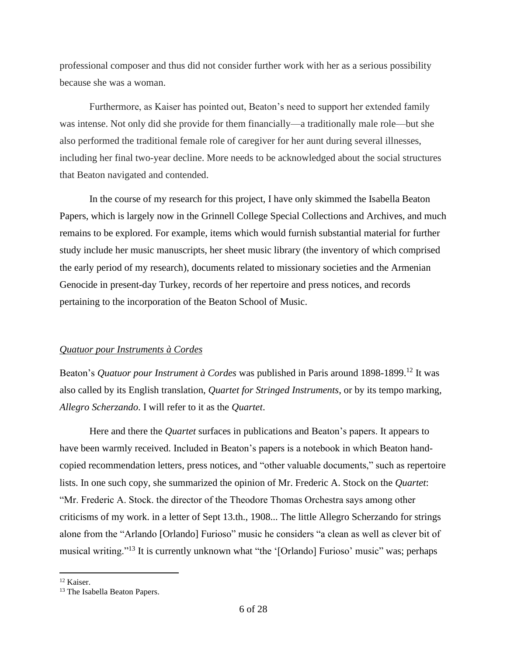professional composer and thus did not consider further work with her as a serious possibility because she was a woman.

Furthermore, as Kaiser has pointed out, Beaton's need to support her extended family was intense. Not only did she provide for them financially—a traditionally male role—but she also performed the traditional female role of caregiver for her aunt during several illnesses, including her final two-year decline. More needs to be acknowledged about the social structures that Beaton navigated and contended.

In the course of my research for this project, I have only skimmed the Isabella Beaton Papers, which is largely now in the Grinnell College Special Collections and Archives, and much remains to be explored. For example, items which would furnish substantial material for further study include her music manuscripts, her sheet music library (the inventory of which comprised the early period of my research), documents related to missionary societies and the Armenian Genocide in present-day Turkey, records of her repertoire and press notices, and records pertaining to the incorporation of the Beaton School of Music.

### *Quatuor pour Instruments à Cordes*

Beaton's *Quatuor pour Instrument à Cordes* was published in Paris around 1898-1899. <sup>12</sup> It was also called by its English translation, *Quartet for Stringed Instruments*, or by its tempo marking, *Allegro Scherzando*. I will refer to it as the *Quartet*.

Here and there the *Quartet* surfaces in publications and Beaton's papers. It appears to have been warmly received. Included in Beaton's papers is a notebook in which Beaton handcopied recommendation letters, press notices, and "other valuable documents," such as repertoire lists. In one such copy, she summarized the opinion of Mr. Frederic A. Stock on the *Quartet*: "Mr. Frederic A. Stock. the director of the Theodore Thomas Orchestra says among other criticisms of my work. in a letter of Sept 13.th., 1908... The little Allegro Scherzando for strings alone from the "Arlando [Orlando] Furioso" music he considers "a clean as well as clever bit of musical writing."<sup>13</sup> It is currently unknown what "the '[Orlando] Furioso' music" was; perhaps

<sup>12</sup> Kaiser.

<sup>13</sup> The Isabella Beaton Papers.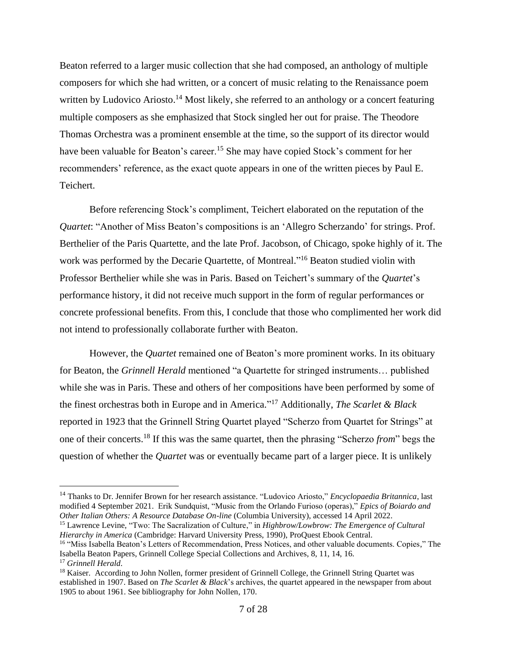Beaton referred to a larger music collection that she had composed, an anthology of multiple composers for which she had written, or a concert of music relating to the Renaissance poem written by Ludovico Ariosto.<sup>14</sup> Most likely, she referred to an anthology or a concert featuring multiple composers as she emphasized that Stock singled her out for praise. The Theodore Thomas Orchestra was a prominent ensemble at the time, so the support of its director would have been valuable for Beaton's career.<sup>15</sup> She may have copied Stock's comment for her recommenders' reference, as the exact quote appears in one of the written pieces by Paul E. Teichert.

Before referencing Stock's compliment, Teichert elaborated on the reputation of the *Quartet*: "Another of Miss Beaton's compositions is an 'Allegro Scherzando' for strings. Prof. Berthelier of the Paris Quartette, and the late Prof. Jacobson, of Chicago, spoke highly of it. The work was performed by the Decarie Quartette, of Montreal."<sup>16</sup> Beaton studied violin with Professor Berthelier while she was in Paris. Based on Teichert's summary of the *Quartet*'s performance history, it did not receive much support in the form of regular performances or concrete professional benefits. From this, I conclude that those who complimented her work did not intend to professionally collaborate further with Beaton.

However, the *Quartet* remained one of Beaton's more prominent works. In its obituary for Beaton, the *Grinnell Herald* mentioned "a Quartette for stringed instruments… published while she was in Paris. These and others of her compositions have been performed by some of the finest orchestras both in Europe and in America." <sup>17</sup> Additionally, *The Scarlet & Black* reported in 1923 that the Grinnell String Quartet played "Scherzo from Quartet for Strings" at one of their concerts. <sup>18</sup> If this was the same quartet, then the phrasing "Scherzo *from*" begs the question of whether the *Quartet* was or eventually became part of a larger piece. It is unlikely

<sup>15</sup> Lawrence Levine, "Two: The Sacralization of Culture," in *Highbrow/Lowbrow: The Emergence of Cultural Hierarchy in America* (Cambridge: Harvard University Press, 1990), ProQuest Ebook Central.

<sup>14</sup> Thanks to Dr. Jennifer Brown for her research assistance. "Ludovico Ariosto," *Encyclopaedia Britannica*, last modified 4 September 2021. Erik Sundquist, "Music from the Orlando Furioso (operas)," *Epics of Boiardo and Other Italian Others: A Resource Database On-line* (Columbia University), accessed 14 April 2022.

<sup>&</sup>lt;sup>16</sup> "Miss Isabella Beaton's Letters of Recommendation, Press Notices, and other valuable documents. Copies," The Isabella Beaton Papers, Grinnell College Special Collections and Archives, 8, 11, 14, 16. <sup>17</sup> *Grinnell Herald*.

<sup>&</sup>lt;sup>18</sup> Kaiser. According to John Nollen, former president of Grinnell College, the Grinnell String Quartet was established in 1907. Based on *The Scarlet & Black*'s archives, the quartet appeared in the newspaper from about 1905 to about 1961. See bibliography for John Nollen, 170.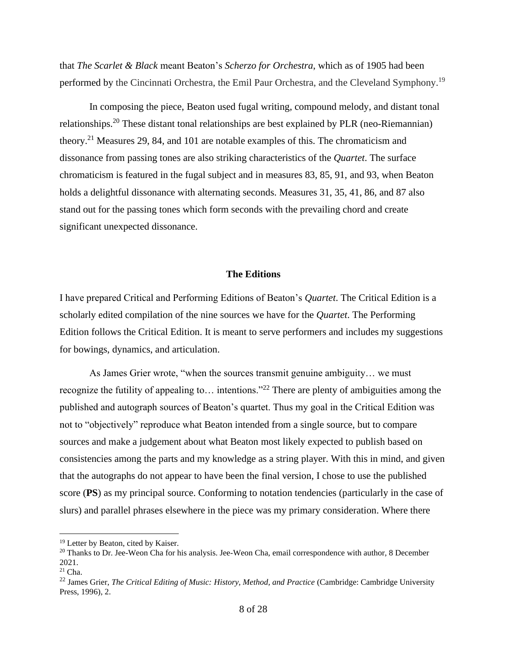that *The Scarlet & Black* meant Beaton's *Scherzo for Orchestra*, which as of 1905 had been performed by the Cincinnati Orchestra, the Emil Paur Orchestra, and the Cleveland Symphony.<sup>19</sup>

In composing the piece, Beaton used fugal writing, compound melody, and distant tonal relationships.<sup>20</sup> These distant tonal relationships are best explained by PLR (neo-Riemannian) theory.<sup>21</sup> Measures 29, 84, and 101 are notable examples of this. The chromaticism and dissonance from passing tones are also striking characteristics of the *Quartet*. The surface chromaticism is featured in the fugal subject and in measures 83, 85, 91, and 93, when Beaton holds a delightful dissonance with alternating seconds. Measures 31, 35, 41, 86, and 87 also stand out for the passing tones which form seconds with the prevailing chord and create significant unexpected dissonance.

## **The Editions**

I have prepared Critical and Performing Editions of Beaton's *Quartet*. The Critical Edition is a scholarly edited compilation of the nine sources we have for the *Quartet*. The Performing Edition follows the Critical Edition. It is meant to serve performers and includes my suggestions for bowings, dynamics, and articulation.

As James Grier wrote, "when the sources transmit genuine ambiguity… we must recognize the futility of appealing to… intentions."<sup>22</sup> There are plenty of ambiguities among the published and autograph sources of Beaton's quartet. Thus my goal in the Critical Edition was not to "objectively" reproduce what Beaton intended from a single source, but to compare sources and make a judgement about what Beaton most likely expected to publish based on consistencies among the parts and my knowledge as a string player. With this in mind, and given that the autographs do not appear to have been the final version, I chose to use the published score (**PS**) as my principal source. Conforming to notation tendencies (particularly in the case of slurs) and parallel phrases elsewhere in the piece was my primary consideration. Where there

<sup>&</sup>lt;sup>19</sup> Letter by Beaton, cited by Kaiser.

<sup>&</sup>lt;sup>20</sup> Thanks to Dr. Jee-Weon Cha for his analysis. Jee-Weon Cha, email correspondence with author, 8 December 2021.

 $21$  Cha.

<sup>22</sup> James Grier, *The Critical Editing of Music: History, Method, and Practice* (Cambridge: Cambridge University Press, 1996), 2.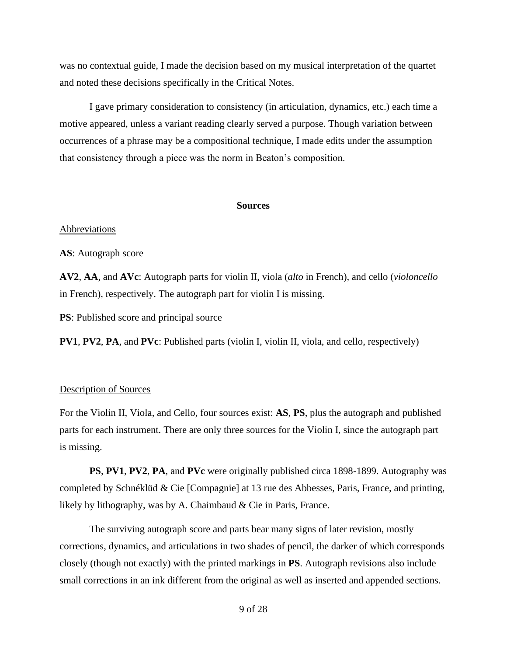was no contextual guide, I made the decision based on my musical interpretation of the quartet and noted these decisions specifically in the Critical Notes.

I gave primary consideration to consistency (in articulation, dynamics, etc.) each time a motive appeared, unless a variant reading clearly served a purpose. Though variation between occurrences of a phrase may be a compositional technique, I made edits under the assumption that consistency through a piece was the norm in Beaton's composition.

#### **Sources**

#### Abbreviations

**AS**: Autograph score

**AV2**, **AA**, and **AVc**: Autograph parts for violin II, viola (*alto* in French), and cello (*violoncello* in French), respectively. The autograph part for violin I is missing.

**PS**: Published score and principal source

**PV1**, **PV2**, **PA**, and **PVc**: Published parts (violin I, violin II, viola, and cello, respectively)

## Description of Sources

For the Violin II, Viola, and Cello, four sources exist: **AS**, **PS**, plus the autograph and published parts for each instrument. There are only three sources for the Violin I, since the autograph part is missing.

**PS**, **PV1**, **PV2**, **PA**, and **PVc** were originally published circa 1898-1899. Autography was completed by Schnéklüd & Cie [Compagnie] at 13 rue des Abbesses, Paris, France, and printing, likely by lithography, was by A. Chaimbaud & Cie in Paris, France.

The surviving autograph score and parts bear many signs of later revision, mostly corrections, dynamics, and articulations in two shades of pencil, the darker of which corresponds closely (though not exactly) with the printed markings in **PS**. Autograph revisions also include small corrections in an ink different from the original as well as inserted and appended sections.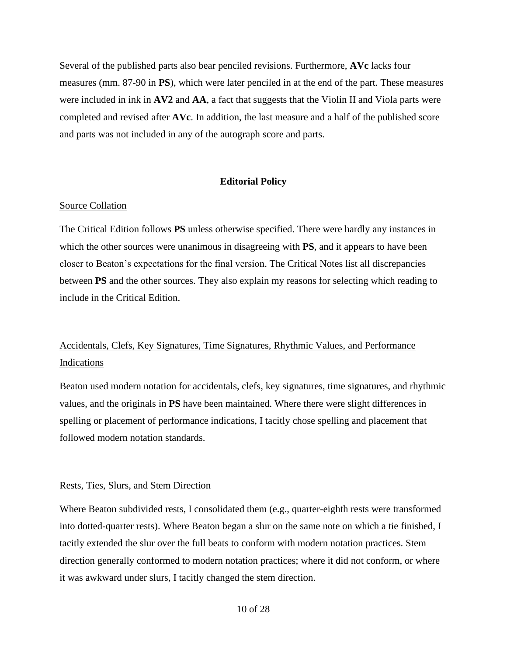Several of the published parts also bear penciled revisions. Furthermore, **AVc** lacks four measures (mm. 87-90 in **PS**), which were later penciled in at the end of the part. These measures were included in ink in **AV2** and **AA**, a fact that suggests that the Violin II and Viola parts were completed and revised after **AVc**. In addition, the last measure and a half of the published score and parts was not included in any of the autograph score and parts.

## **Editorial Policy**

### Source Collation

The Critical Edition follows **PS** unless otherwise specified. There were hardly any instances in which the other sources were unanimous in disagreeing with **PS**, and it appears to have been closer to Beaton's expectations for the final version. The Critical Notes list all discrepancies between **PS** and the other sources. They also explain my reasons for selecting which reading to include in the Critical Edition.

# Accidentals, Clefs, Key Signatures, Time Signatures, Rhythmic Values, and Performance Indications

Beaton used modern notation for accidentals, clefs, key signatures, time signatures, and rhythmic values, and the originals in **PS** have been maintained. Where there were slight differences in spelling or placement of performance indications, I tacitly chose spelling and placement that followed modern notation standards.

#### Rests, Ties, Slurs, and Stem Direction

Where Beaton subdivided rests, I consolidated them (e.g., quarter-eighth rests were transformed into dotted-quarter rests). Where Beaton began a slur on the same note on which a tie finished, I tacitly extended the slur over the full beats to conform with modern notation practices. Stem direction generally conformed to modern notation practices; where it did not conform, or where it was awkward under slurs, I tacitly changed the stem direction.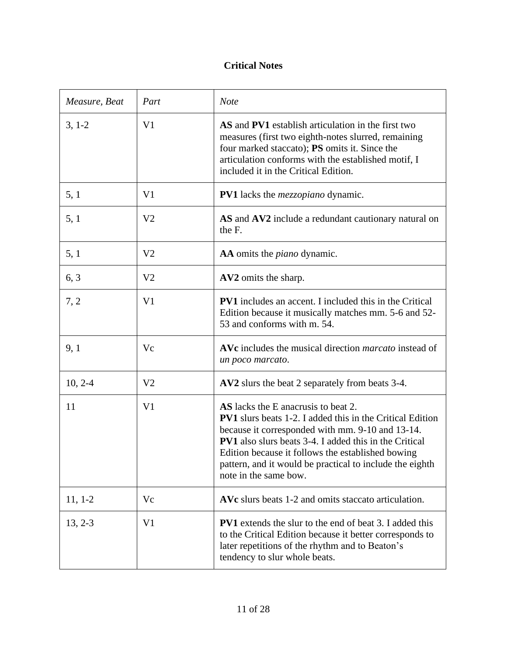# **Critical Notes**

| Measure, Beat | Part           | <b>Note</b>                                                                                                                                                                                                                                                                                                                                                            |
|---------------|----------------|------------------------------------------------------------------------------------------------------------------------------------------------------------------------------------------------------------------------------------------------------------------------------------------------------------------------------------------------------------------------|
| $3, 1-2$      | V <sub>1</sub> | AS and PV1 establish articulation in the first two<br>measures (first two eighth-notes slurred, remaining<br>four marked staccato); <b>PS</b> omits it. Since the<br>articulation conforms with the established motif, I<br>included it in the Critical Edition.                                                                                                       |
| 5, 1          | V <sub>1</sub> | <b>PV1</b> lacks the <i>mezzopiano</i> dynamic.                                                                                                                                                                                                                                                                                                                        |
| 5, 1          | V <sub>2</sub> | AS and AV2 include a redundant cautionary natural on<br>the F.                                                                                                                                                                                                                                                                                                         |
| 5, 1          | V <sub>2</sub> | AA omits the <i>piano</i> dynamic.                                                                                                                                                                                                                                                                                                                                     |
| 6, 3          | V <sub>2</sub> | AV2 omits the sharp.                                                                                                                                                                                                                                                                                                                                                   |
| 7, 2          | V <sub>1</sub> | <b>PV1</b> includes an accent. I included this in the Critical<br>Edition because it musically matches mm. 5-6 and 52-<br>53 and conforms with m. 54.                                                                                                                                                                                                                  |
| 9, 1          | Vc             | AVc includes the musical direction <i>marcato</i> instead of<br>un poco marcato.                                                                                                                                                                                                                                                                                       |
| $10, 2-4$     | V <sub>2</sub> | AV2 slurs the beat 2 separately from beats 3-4.                                                                                                                                                                                                                                                                                                                        |
| 11            | V <sub>1</sub> | AS lacks the E anacrusis to beat 2.<br><b>PV1</b> slurs beats 1-2. I added this in the Critical Edition<br>because it corresponded with mm. 9-10 and 13-14.<br><b>PV1</b> also slurs beats 3-4. I added this in the Critical<br>Edition because it follows the established bowing<br>pattern, and it would be practical to include the eighth<br>note in the same bow. |
| $11, 1-2$     | Vc             | AVc slurs beats 1-2 and omits staccato articulation.                                                                                                                                                                                                                                                                                                                   |
| $13, 2-3$     | V <sub>1</sub> | <b>PV1</b> extends the slur to the end of beat 3. I added this<br>to the Critical Edition because it better corresponds to<br>later repetitions of the rhythm and to Beaton's<br>tendency to slur whole beats.                                                                                                                                                         |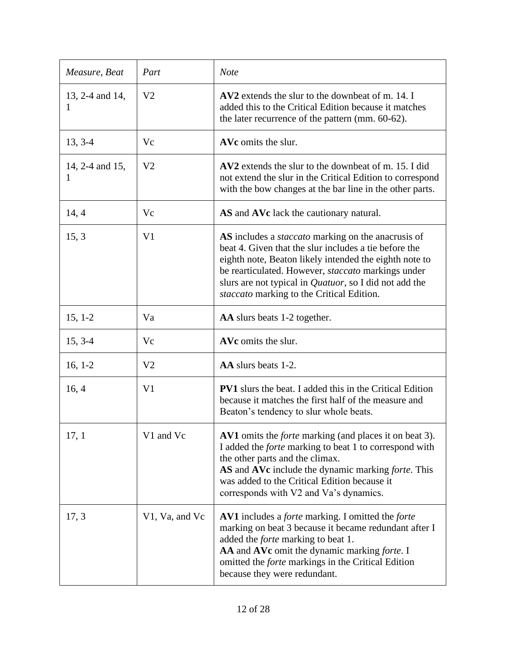| Measure, Beat        | Part           | <b>Note</b>                                                                                                                                                                                                                                                                                                                                       |
|----------------------|----------------|---------------------------------------------------------------------------------------------------------------------------------------------------------------------------------------------------------------------------------------------------------------------------------------------------------------------------------------------------|
| 13, 2-4 and 14,<br>1 | V <sub>2</sub> | AV2 extends the slur to the downbeat of m. 14. I<br>added this to the Critical Edition because it matches<br>the later recurrence of the pattern (mm. 60-62).                                                                                                                                                                                     |
| 13, 3-4              | Vc             | AVc omits the slur.                                                                                                                                                                                                                                                                                                                               |
| 14, 2-4 and 15,<br>1 | V <sub>2</sub> | AV2 extends the slur to the downbeat of m. 15. I did<br>not extend the slur in the Critical Edition to correspond<br>with the bow changes at the bar line in the other parts.                                                                                                                                                                     |
| 14, 4                | Vc             | AS and AVc lack the cautionary natural.                                                                                                                                                                                                                                                                                                           |
| 15, 3                | V <sub>1</sub> | AS includes a <i>staccato</i> marking on the anacrusis of<br>beat 4. Given that the slur includes a tie before the<br>eighth note, Beaton likely intended the eighth note to<br>be rearticulated. However, staccato markings under<br>slurs are not typical in <i>Quatuor</i> , so I did not add the<br>staccato marking to the Critical Edition. |
| $15, 1-2$            | Va             | AA slurs beats 1-2 together.                                                                                                                                                                                                                                                                                                                      |
| $15, 3-4$            | Vc             | AVc omits the slur.                                                                                                                                                                                                                                                                                                                               |
| $16, 1-2$            | V <sub>2</sub> | AA slurs beats 1-2.                                                                                                                                                                                                                                                                                                                               |
| 16, 4                | V <sub>1</sub> | <b>PV1</b> slurs the beat. I added this in the Critical Edition<br>because it matches the first half of the measure and<br>Beaton's tendency to slur whole beats.                                                                                                                                                                                 |
| 17, 1                | V1 and Vc      | AV1 omits the <i>forte</i> marking (and places it on beat 3).<br>I added the <i>forte</i> marking to beat 1 to correspond with<br>the other parts and the climax.<br>AS and AVc include the dynamic marking forte. This<br>was added to the Critical Edition because it<br>corresponds with V2 and Va's dynamics.                                 |
| 17, 3                | V1, Va, and Vc | AV1 includes a <i>forte</i> marking. I omitted the <i>forte</i><br>marking on beat 3 because it became redundant after I<br>added the <i>forte</i> marking to beat 1.<br>AA and AVc omit the dynamic marking forte. I<br>omitted the <i>forte</i> markings in the Critical Edition<br>because they were redundant.                                |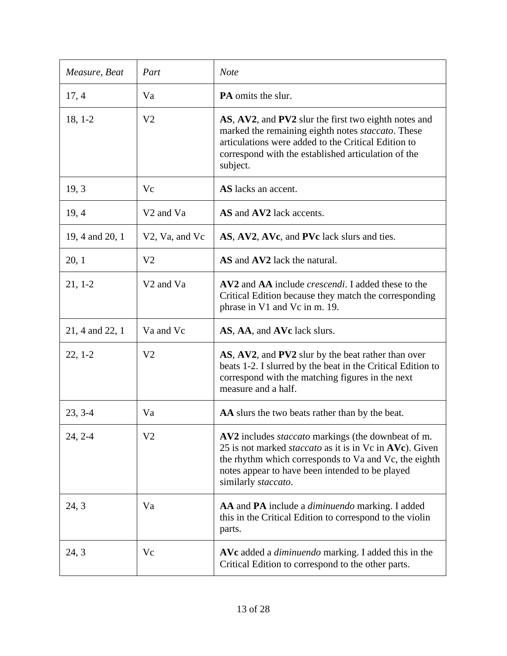| Measure, Beat   | Part                              | <b>Note</b>                                                                                                                                                                                                                                                    |
|-----------------|-----------------------------------|----------------------------------------------------------------------------------------------------------------------------------------------------------------------------------------------------------------------------------------------------------------|
| 17,4            | Va                                | <b>PA</b> omits the slur.                                                                                                                                                                                                                                      |
| $18, 1-2$       | V <sub>2</sub>                    | AS, AV2, and PV2 slur the first two eighth notes and<br>marked the remaining eighth notes staccato. These<br>articulations were added to the Critical Edition to<br>correspond with the established articulation of the<br>subject.                            |
| 19, 3           | Vc                                | AS lacks an accent.                                                                                                                                                                                                                                            |
| 19, 4           | V <sub>2</sub> and V <sub>a</sub> | AS and AV2 lack accents.                                                                                                                                                                                                                                       |
| 19, 4 and 20, 1 | V2, Va, and Vc                    | AS, AV2, AVc, and PVc lack slurs and ties.                                                                                                                                                                                                                     |
| 20, 1           | V <sub>2</sub>                    | AS and AV2 lack the natural.                                                                                                                                                                                                                                   |
| $21, 1-2$       | V <sub>2</sub> and V <sub>a</sub> | AV2 and AA include <i>crescendi</i> . I added these to the<br>Critical Edition because they match the corresponding<br>phrase in V1 and Vc in m. 19.                                                                                                           |
| 21, 4 and 22, 1 | Va and Vc                         | AS, AA, and AVc lack slurs.                                                                                                                                                                                                                                    |
| $22, 1-2$       | V <sub>2</sub>                    | AS, AV2, and PV2 slur by the beat rather than over<br>beats 1-2. I slurred by the beat in the Critical Edition to<br>correspond with the matching figures in the next<br>measure and a half.                                                                   |
| $23, 3-4$       | Va                                | AA slurs the two beats rather than by the beat.                                                                                                                                                                                                                |
| 24, 2-4         | V <sub>2</sub>                    | AV2 includes <i>staccato</i> markings (the downbeat of m.<br>25 is not marked <i>staccato</i> as it is in Vc in AVc). Given<br>the rhythm which corresponds to Va and Vc, the eighth<br>notes appear to have been intended to be played<br>similarly staccato. |
| 24, 3           | Va                                | AA and PA include a <i>diminuendo</i> marking. I added<br>this in the Critical Edition to correspond to the violin<br>parts.                                                                                                                                   |
| 24, 3           | Vc                                | <b>AVc</b> added a <i>diminuendo</i> marking. I added this in the<br>Critical Edition to correspond to the other parts.                                                                                                                                        |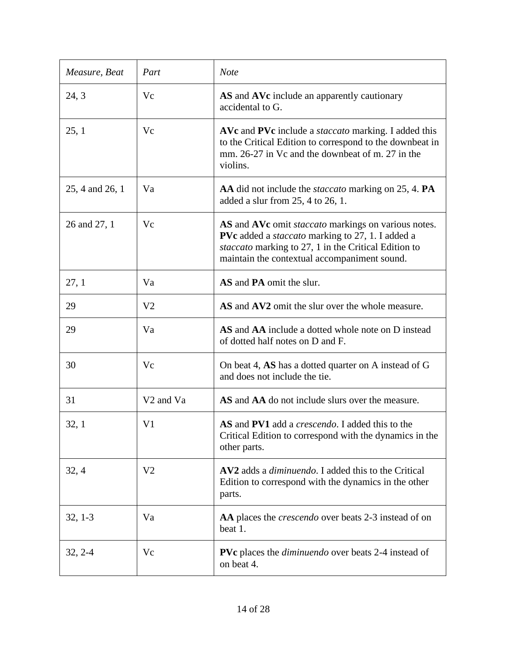| Measure, Beat   | Part                              | <b>Note</b>                                                                                                                                                                                                            |
|-----------------|-----------------------------------|------------------------------------------------------------------------------------------------------------------------------------------------------------------------------------------------------------------------|
| 24, 3           | Vc                                | AS and AVc include an apparently cautionary<br>accidental to G.                                                                                                                                                        |
| 25, 1           | Vc                                | AVc and PVc include a <i>staccato</i> marking. I added this<br>to the Critical Edition to correspond to the downbeat in<br>mm. 26-27 in Vc and the downbeat of m. 27 in the<br>violins.                                |
| 25, 4 and 26, 1 | Va                                | AA did not include the <i>staccato</i> marking on 25, 4. <b>PA</b><br>added a slur from $25$ , 4 to $26$ , 1.                                                                                                          |
| 26 and 27, 1    | Vc                                | AS and AVc omit <i>staccato</i> markings on various notes.<br>PVc added a staccato marking to 27, 1. I added a<br>staccato marking to 27, 1 in the Critical Edition to<br>maintain the contextual accompaniment sound. |
| 27,1            | Va                                | AS and PA omit the slur.                                                                                                                                                                                               |
| 29              | V <sub>2</sub>                    | AS and AV2 omit the slur over the whole measure.                                                                                                                                                                       |
| 29              | Va                                | AS and AA include a dotted whole note on D instead<br>of dotted half notes on D and F.                                                                                                                                 |
| 30              | Vc                                | On beat 4, AS has a dotted quarter on A instead of G<br>and does not include the tie.                                                                                                                                  |
| 31              | V <sub>2</sub> and V <sub>a</sub> | AS and AA do not include slurs over the measure.                                                                                                                                                                       |
| 32, 1           | V1                                | <b>AS</b> and <b>PV1</b> add a <i>crescendo</i> . I added this to the<br>Critical Edition to correspond with the dynamics in the<br>other parts.                                                                       |
| 32, 4           | V <sub>2</sub>                    | AV2 adds a <i>diminuendo</i> . I added this to the Critical<br>Edition to correspond with the dynamics in the other<br>parts.                                                                                          |
| $32, 1-3$       | Va                                | AA places the <i>crescendo</i> over beats 2-3 instead of on<br>beat 1.                                                                                                                                                 |
| $32, 2-4$       | Vc                                | <b>PVc</b> places the <i>diminuendo</i> over beats 2-4 instead of<br>on beat 4.                                                                                                                                        |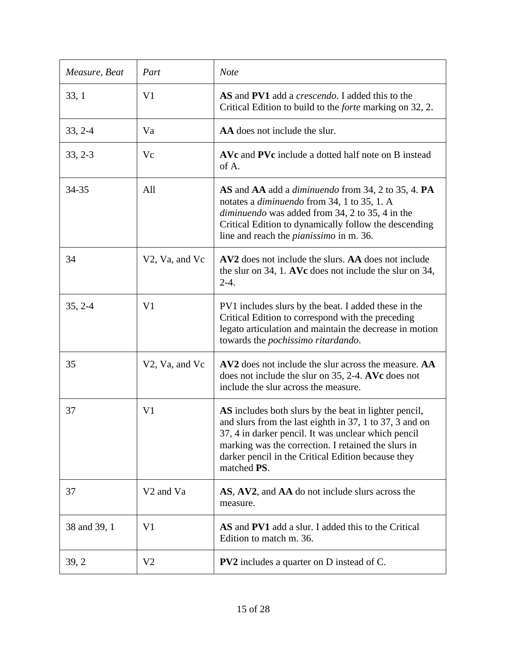| Measure, Beat | Part                              | <b>Note</b>                                                                                                                                                                                                                                                                                               |
|---------------|-----------------------------------|-----------------------------------------------------------------------------------------------------------------------------------------------------------------------------------------------------------------------------------------------------------------------------------------------------------|
| 33, 1         | V <sub>1</sub>                    | AS and PV1 add a <i>crescendo</i> . I added this to the<br>Critical Edition to build to the <i>forte</i> marking on 32, 2.                                                                                                                                                                                |
| $33, 2-4$     | Va                                | AA does not include the slur.                                                                                                                                                                                                                                                                             |
| $33, 2-3$     | Vc                                | AVc and PVc include a dotted half note on B instead<br>of A.                                                                                                                                                                                                                                              |
| 34-35         | All                               | <b>AS</b> and <b>AA</b> add a <i>diminuendo</i> from 34, 2 to 35, 4. <b>PA</b><br>notates a <i>diminuendo</i> from 34, 1 to 35, 1. A<br><i>diminuendo</i> was added from 34, 2 to 35, 4 in the<br>Critical Edition to dynamically follow the descending<br>line and reach the <i>pianissimo</i> in m. 36. |
| 34            | V2, Va, and Vc                    | AV2 does not include the slurs. AA does not include<br>the slur on 34, 1. AVc does not include the slur on 34,<br>$2-4.$                                                                                                                                                                                  |
| $35, 2-4$     | V <sub>1</sub>                    | PV1 includes slurs by the beat. I added these in the<br>Critical Edition to correspond with the preceding<br>legato articulation and maintain the decrease in motion<br>towards the pochissimo ritardando.                                                                                                |
| 35            | V2, Va, and Vc                    | AV2 does not include the slur across the measure. AA<br>does not include the slur on 35, 2-4. AVc does not<br>include the slur across the measure.                                                                                                                                                        |
| 37            | V <sub>1</sub>                    | AS includes both slurs by the beat in lighter pencil,<br>and slurs from the last eighth in 37, 1 to 37, 3 and on<br>37, 4 in darker pencil. It was unclear which pencil<br>marking was the correction. I retained the slurs in<br>darker pencil in the Critical Edition because they<br>matched PS.       |
| 37            | V <sub>2</sub> and V <sub>a</sub> | AS, AV2, and AA do not include slurs across the<br>measure.                                                                                                                                                                                                                                               |
| 38 and 39, 1  | V <sub>1</sub>                    | AS and PV1 add a slur. I added this to the Critical<br>Edition to match m. 36.                                                                                                                                                                                                                            |
| 39, 2         | V <sub>2</sub>                    | <b>PV2</b> includes a quarter on D instead of C.                                                                                                                                                                                                                                                          |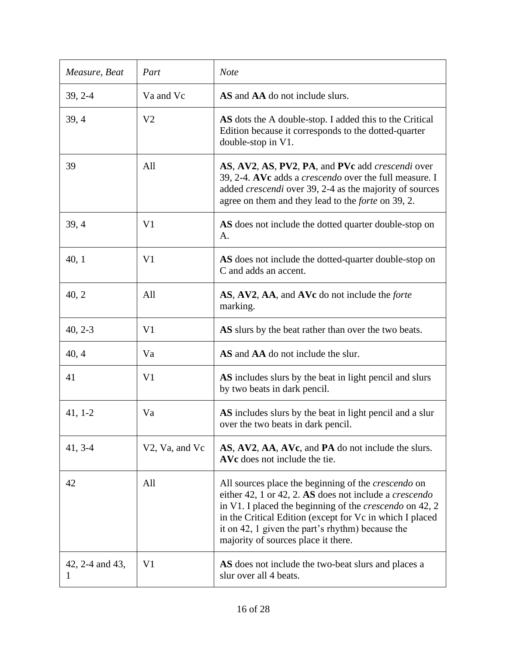| Measure, Beat         | Part           | <b>Note</b>                                                                                                                                                                                                                                                                                                                                   |
|-----------------------|----------------|-----------------------------------------------------------------------------------------------------------------------------------------------------------------------------------------------------------------------------------------------------------------------------------------------------------------------------------------------|
| $39, 2-4$             | Va and Vc      | AS and AA do not include slurs.                                                                                                                                                                                                                                                                                                               |
| 39, 4                 | V <sub>2</sub> | AS dots the A double-stop. I added this to the Critical<br>Edition because it corresponds to the dotted-quarter<br>double-stop in V1.                                                                                                                                                                                                         |
| 39                    | All            | AS, AV2, AS, PV2, PA, and PVc add <i>crescendi</i> over<br>39, 2-4. AVc adds a <i>crescendo</i> over the full measure. I<br>added <i>crescendi</i> over 39, 2-4 as the majority of sources<br>agree on them and they lead to the <i>forte</i> on 39, 2.                                                                                       |
| 39, 4                 | V <sub>1</sub> | AS does not include the dotted quarter double-stop on<br>А.                                                                                                                                                                                                                                                                                   |
| 40, 1                 | V <sub>1</sub> | AS does not include the dotted-quarter double-stop on<br>C and adds an accent.                                                                                                                                                                                                                                                                |
| 40, 2                 | All            | AS, AV2, AA, and AVc do not include the <i>forte</i><br>marking.                                                                                                                                                                                                                                                                              |
| $40, 2 - 3$           | V <sub>1</sub> | AS slurs by the beat rather than over the two beats.                                                                                                                                                                                                                                                                                          |
| 40, 4                 | Va             | AS and AA do not include the slur.                                                                                                                                                                                                                                                                                                            |
| 41                    | V <sub>1</sub> | AS includes slurs by the beat in light pencil and slurs<br>by two beats in dark pencil.                                                                                                                                                                                                                                                       |
| $41, 1-2$             | Va             | AS includes slurs by the beat in light pencil and a slur<br>over the two beats in dark pencil.                                                                                                                                                                                                                                                |
| $41, 3-4$             | V2, Va, and Vc | AS, AV2, AA, AVc, and PA do not include the slurs.<br>AVc does not include the tie.                                                                                                                                                                                                                                                           |
| 42                    | All            | All sources place the beginning of the <i>crescendo</i> on<br>either 42, 1 or 42, 2. AS does not include a crescendo<br>in V1. I placed the beginning of the <i>crescendo</i> on 42, 2<br>in the Critical Edition (except for Vc in which I placed<br>it on 42, 1 given the part's rhythm) because the<br>majority of sources place it there. |
| 42, 2-4 and 43,<br>I. | V <sub>1</sub> | AS does not include the two-beat slurs and places a<br>slur over all 4 beats.                                                                                                                                                                                                                                                                 |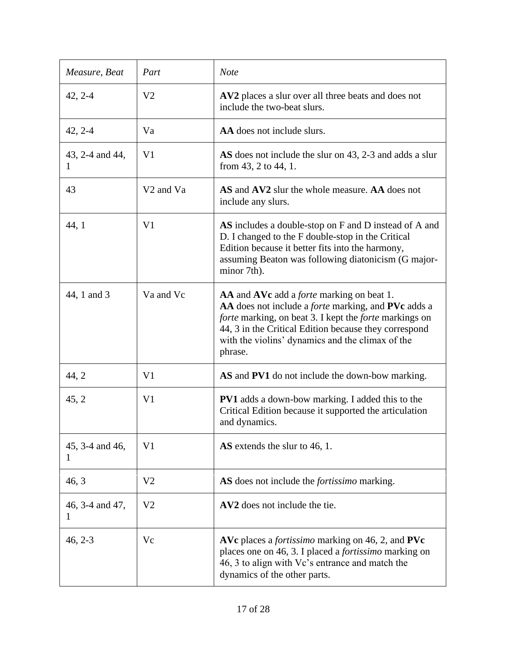| Measure, Beat        | Part                              | <b>Note</b>                                                                                                                                                                                                                                                                                                           |
|----------------------|-----------------------------------|-----------------------------------------------------------------------------------------------------------------------------------------------------------------------------------------------------------------------------------------------------------------------------------------------------------------------|
| $42, 2 - 4$          | V <sub>2</sub>                    | AV2 places a slur over all three beats and does not<br>include the two-beat slurs.                                                                                                                                                                                                                                    |
| $42, 2 - 4$          | Va                                | AA does not include slurs.                                                                                                                                                                                                                                                                                            |
| 43, 2-4 and 44,<br>1 | V <sub>1</sub>                    | AS does not include the slur on 43, 2-3 and adds a slur<br>from $43, 2$ to $44, 1$ .                                                                                                                                                                                                                                  |
| 43                   | V <sub>2</sub> and V <sub>a</sub> | AS and AV2 slur the whole measure. AA does not<br>include any slurs.                                                                                                                                                                                                                                                  |
| 44, 1                | V <sub>1</sub>                    | <b>AS</b> includes a double-stop on F and D instead of A and<br>D. I changed to the F double-stop in the Critical<br>Edition because it better fits into the harmony,<br>assuming Beaton was following diatonicism (G major-<br>minor 7th).                                                                           |
| 44, 1 and 3          | Va and Vc                         | <b>AA</b> and <b>AVc</b> add a <i>forte</i> marking on beat 1.<br>AA does not include a <i>forte</i> marking, and <b>PVc</b> adds a<br>forte marking, on beat 3. I kept the forte markings on<br>44, 3 in the Critical Edition because they correspond<br>with the violins' dynamics and the climax of the<br>phrase. |
| 44, 2                | V <sub>1</sub>                    | AS and PV1 do not include the down-bow marking.                                                                                                                                                                                                                                                                       |
| 45, 2                | V <sub>1</sub>                    | <b>PV1</b> adds a down-bow marking. I added this to the<br>Critical Edition because it supported the articulation<br>and dynamics.                                                                                                                                                                                    |
| 45, 3-4 and 46,      | V <sub>1</sub>                    | AS extends the slur to 46, 1.                                                                                                                                                                                                                                                                                         |
| 46, 3                | V <sub>2</sub>                    | AS does not include the <i>fortissimo</i> marking.                                                                                                                                                                                                                                                                    |
| 46, 3-4 and 47,      | V <sub>2</sub>                    | AV2 does not include the tie.                                                                                                                                                                                                                                                                                         |
| $46, 2 - 3$          | Vc                                | AVc places a <i>fortissimo</i> marking on 46, 2, and PVc<br>places one on 46, 3. I placed a <i>fortissimo</i> marking on<br>46, 3 to align with Vc's entrance and match the<br>dynamics of the other parts.                                                                                                           |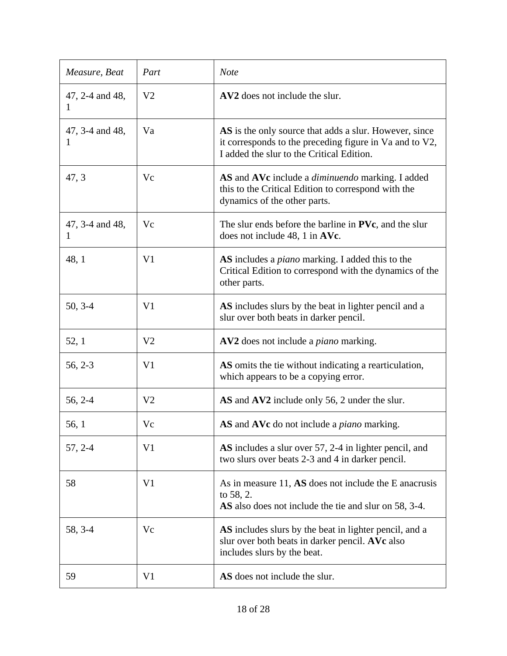| Measure, Beat        | Part           | <b>Note</b>                                                                                                                                                    |
|----------------------|----------------|----------------------------------------------------------------------------------------------------------------------------------------------------------------|
| 47, 2-4 and 48,<br>1 | V <sub>2</sub> | AV2 does not include the slur.                                                                                                                                 |
| 47, 3-4 and 48,<br>1 | Va             | AS is the only source that adds a slur. However, since<br>it corresponds to the preceding figure in Va and to V2,<br>I added the slur to the Critical Edition. |
| 47, 3                | Vc             | AS and AVc include a <i>diminuendo</i> marking. I added<br>this to the Critical Edition to correspond with the<br>dynamics of the other parts.                 |
| 47, 3-4 and 48,<br>1 | Vc             | The slur ends before the barline in PVc, and the slur<br>does not include 48, 1 in $AVc$ .                                                                     |
| 48, 1                | V <sub>1</sub> | AS includes a <i>piano</i> marking. I added this to the<br>Critical Edition to correspond with the dynamics of the<br>other parts.                             |
| $50, 3-4$            | V <sub>1</sub> | AS includes slurs by the beat in lighter pencil and a<br>slur over both beats in darker pencil.                                                                |
| 52, 1                | V <sub>2</sub> | AV2 does not include a <i>piano</i> marking.                                                                                                                   |
| $56, 2-3$            | V <sub>1</sub> | AS omits the tie without indicating a rearticulation,<br>which appears to be a copying error.                                                                  |
| 56, 2-4              | V <sub>2</sub> | AS and AV2 include only 56, 2 under the slur.                                                                                                                  |
| 56, 1                | Vc             | AS and AVc do not include a <i>piano</i> marking.                                                                                                              |
| $57, 2-4$            | V <sub>1</sub> | AS includes a slur over 57, 2-4 in lighter pencil, and<br>two slurs over beats 2-3 and 4 in darker pencil.                                                     |
| 58                   | V <sub>1</sub> | As in measure 11, AS does not include the E anacrusis<br>to 58, 2.<br>AS also does not include the tie and slur on 58, 3-4.                                    |
| 58, 3-4              | Vc             | AS includes slurs by the beat in lighter pencil, and a<br>slur over both beats in darker pencil. AVc also<br>includes slurs by the beat.                       |
| 59                   | V <sub>1</sub> | AS does not include the slur.                                                                                                                                  |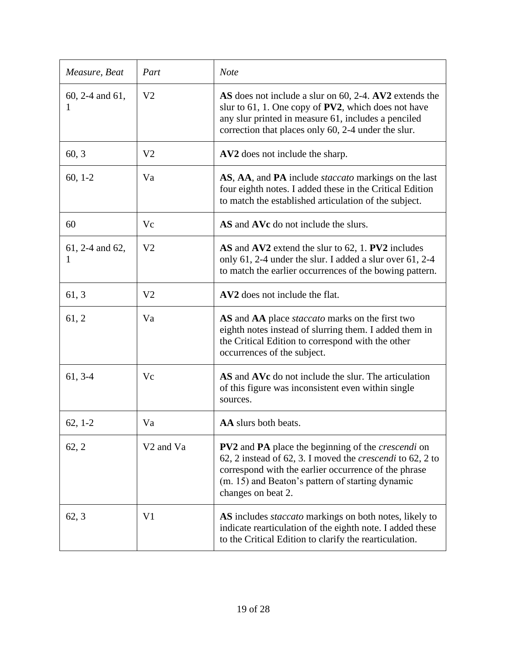| Measure, Beat        | Part                              | <b>Note</b>                                                                                                                                                                                                                                                                   |
|----------------------|-----------------------------------|-------------------------------------------------------------------------------------------------------------------------------------------------------------------------------------------------------------------------------------------------------------------------------|
| 60, 2-4 and 61,<br>1 | V <sub>2</sub>                    | AS does not include a slur on 60, 2-4. AV2 extends the<br>slur to 61, 1. One copy of $PV2$ , which does not have<br>any slur printed in measure 61, includes a penciled<br>correction that places only 60, 2-4 under the slur.                                                |
| 60, 3                | V <sub>2</sub>                    | AV2 does not include the sharp.                                                                                                                                                                                                                                               |
| $60, 1-2$            | Va                                | AS, AA, and PA include <i>staccato</i> markings on the last<br>four eighth notes. I added these in the Critical Edition<br>to match the established articulation of the subject.                                                                                              |
| 60                   | Vc                                | AS and AVc do not include the slurs.                                                                                                                                                                                                                                          |
| 61, 2-4 and 62,<br>1 | V <sub>2</sub>                    | AS and AV2 extend the slur to 62, 1. PV2 includes<br>only 61, 2-4 under the slur. I added a slur over 61, 2-4<br>to match the earlier occurrences of the bowing pattern.                                                                                                      |
| 61, 3                | V <sub>2</sub>                    | AV2 does not include the flat.                                                                                                                                                                                                                                                |
| 61, 2                | Va                                | AS and AA place <i>staccato</i> marks on the first two<br>eighth notes instead of slurring them. I added them in<br>the Critical Edition to correspond with the other<br>occurrences of the subject.                                                                          |
| $61, 3-4$            | Vc                                | AS and AVc do not include the slur. The articulation<br>of this figure was inconsistent even within single<br>sources.                                                                                                                                                        |
| $62, 1-2$            | Va                                | AA slurs both beats.                                                                                                                                                                                                                                                          |
| 62, 2                | V <sub>2</sub> and V <sub>a</sub> | <b>PV2</b> and <b>PA</b> place the beginning of the <i>crescendi</i> on<br>62, 2 instead of 62, 3. I moved the <i>crescendi</i> to 62, 2 to<br>correspond with the earlier occurrence of the phrase<br>(m. 15) and Beaton's pattern of starting dynamic<br>changes on beat 2. |
| 62, 3                | V <sub>1</sub>                    | AS includes <i>staccato</i> markings on both notes, likely to<br>indicate rearticulation of the eighth note. I added these<br>to the Critical Edition to clarify the rearticulation.                                                                                          |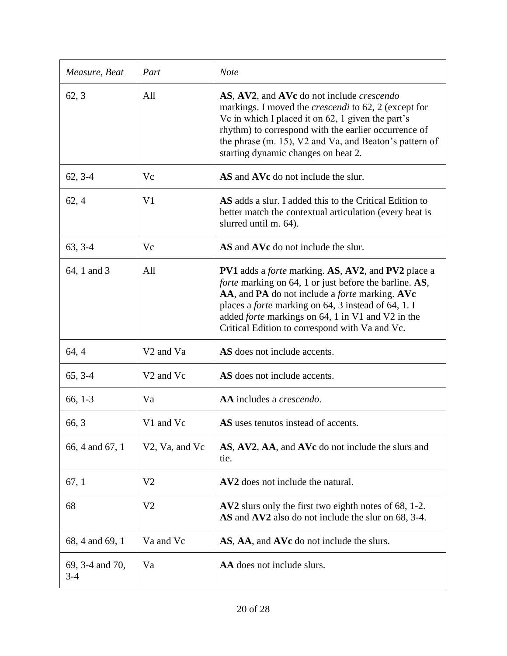| Measure, Beat            | Part                                                 | <b>Note</b>                                                                                                                                                                                                                                                                                                                                                                   |
|--------------------------|------------------------------------------------------|-------------------------------------------------------------------------------------------------------------------------------------------------------------------------------------------------------------------------------------------------------------------------------------------------------------------------------------------------------------------------------|
| 62, 3                    | All                                                  | AS, AV2, and AVc do not include <i>crescendo</i><br>markings. I moved the <i>crescendi</i> to 62, 2 (except for<br>Vc in which I placed it on 62, 1 given the part's<br>rhythm) to correspond with the earlier occurrence of<br>the phrase (m. 15), V2 and Va, and Beaton's pattern of<br>starting dynamic changes on beat 2.                                                 |
| $62, 3-4$                | Vc                                                   | AS and AVc do not include the slur.                                                                                                                                                                                                                                                                                                                                           |
| 62, 4                    | V <sub>1</sub>                                       | AS adds a slur. I added this to the Critical Edition to<br>better match the contextual articulation (every beat is<br>slurred until m. 64).                                                                                                                                                                                                                                   |
| $63, 3-4$                | Vc                                                   | AS and AVc do not include the slur.                                                                                                                                                                                                                                                                                                                                           |
| 64, 1 and 3              | All                                                  | <b>PV1</b> adds a <i>forte</i> marking. AS, AV2, and <b>PV2</b> place a<br><i>forte</i> marking on 64, 1 or just before the barline. AS,<br>AA, and PA do not include a <i>forte</i> marking. AVc<br>places a <i>forte</i> marking on 64, 3 instead of 64, 1. I<br>added <i>forte</i> markings on 64, 1 in V1 and V2 in the<br>Critical Edition to correspond with Va and Vc. |
| 64, 4                    | V <sub>2</sub> and V <sub>a</sub>                    | AS does not include accents.                                                                                                                                                                                                                                                                                                                                                  |
| $65, 3-4$                | V <sub>2</sub> and V <sub>c</sub>                    | AS does not include accents.                                                                                                                                                                                                                                                                                                                                                  |
| 66, 1-3                  | Va                                                   | AA includes a <i>crescendo</i> .                                                                                                                                                                                                                                                                                                                                              |
| 66, 3                    | V1 and Vc                                            | AS uses tenutos instead of accents.                                                                                                                                                                                                                                                                                                                                           |
| 66, 4 and 67, 1          | V <sub>2</sub> , V <sub>a</sub> , and V <sub>c</sub> | AS, AV2, AA, and AVc do not include the slurs and<br>tie.                                                                                                                                                                                                                                                                                                                     |
| 67, 1                    | V <sub>2</sub>                                       | AV2 does not include the natural.                                                                                                                                                                                                                                                                                                                                             |
| 68                       | V <sub>2</sub>                                       | AV2 slurs only the first two eighth notes of 68, 1-2.<br>AS and AV2 also do not include the slur on 68, 3-4.                                                                                                                                                                                                                                                                  |
| 68, 4 and 69, 1          | Va and Vc                                            | AS, AA, and AVc do not include the slurs.                                                                                                                                                                                                                                                                                                                                     |
| 69, 3-4 and 70,<br>$3-4$ | Va                                                   | AA does not include slurs.                                                                                                                                                                                                                                                                                                                                                    |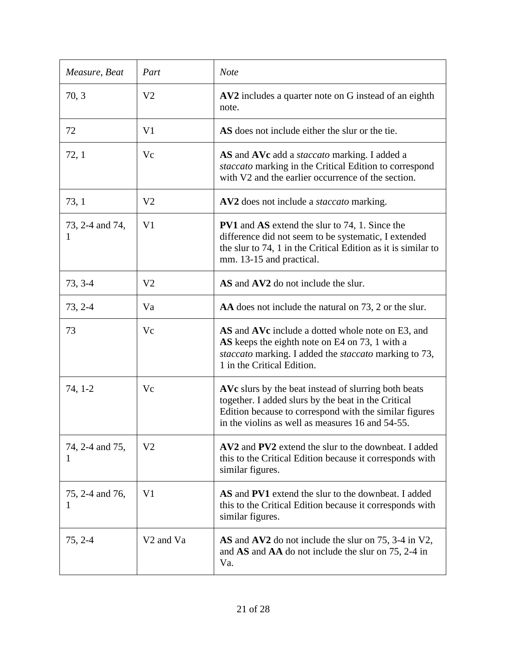| Measure, Beat        | Part                              | <b>Note</b>                                                                                                                                                                                                               |
|----------------------|-----------------------------------|---------------------------------------------------------------------------------------------------------------------------------------------------------------------------------------------------------------------------|
| 70, 3                | V <sub>2</sub>                    | AV2 includes a quarter note on G instead of an eighth<br>note.                                                                                                                                                            |
| 72                   | V <sub>1</sub>                    | AS does not include either the slur or the tie.                                                                                                                                                                           |
| 72, 1                | Vc                                | <b>AS</b> and <b>AVc</b> add a <i>staccato</i> marking. I added a<br>staccato marking in the Critical Edition to correspond<br>with V2 and the earlier occurrence of the section.                                         |
| 73, 1                | V <sub>2</sub>                    | AV2 does not include a <i>staccato</i> marking.                                                                                                                                                                           |
| 73, 2-4 and 74,<br>1 | V <sub>1</sub>                    | <b>PV1</b> and <b>AS</b> extend the slur to 74, 1. Since the<br>difference did not seem to be systematic, I extended<br>the slur to 74, 1 in the Critical Edition as it is similar to<br>mm. 13-15 and practical.         |
| 73, 3-4              | V <sub>2</sub>                    | AS and AV2 do not include the slur.                                                                                                                                                                                       |
| $73, 2-4$            | Va                                | AA does not include the natural on 73, 2 or the slur.                                                                                                                                                                     |
| 73                   | Vc                                | AS and AVc include a dotted whole note on E3, and<br>AS keeps the eighth note on E4 on 73, 1 with a<br>staccato marking. I added the staccato marking to 73,<br>1 in the Critical Edition.                                |
| 74, 1-2              | Vc                                | AVc slurs by the beat instead of slurring both beats<br>together. I added slurs by the beat in the Critical<br>Edition because to correspond with the similar figures<br>in the violins as well as measures 16 and 54-55. |
| 74, 2-4 and 75,      | V <sub>2</sub>                    | AV2 and PV2 extend the slur to the downbeat. I added<br>this to the Critical Edition because it corresponds with<br>similar figures.                                                                                      |
| 75, 2-4 and 76,<br>1 | V <sub>1</sub>                    | AS and PV1 extend the slur to the downbeat. I added<br>this to the Critical Edition because it corresponds with<br>similar figures.                                                                                       |
| $75, 2-4$            | V <sub>2</sub> and V <sub>a</sub> | AS and AV2 do not include the slur on $75$ , 3-4 in V2,<br>and <b>AS</b> and <b>AA</b> do not include the slur on 75, 2-4 in<br>Va.                                                                                       |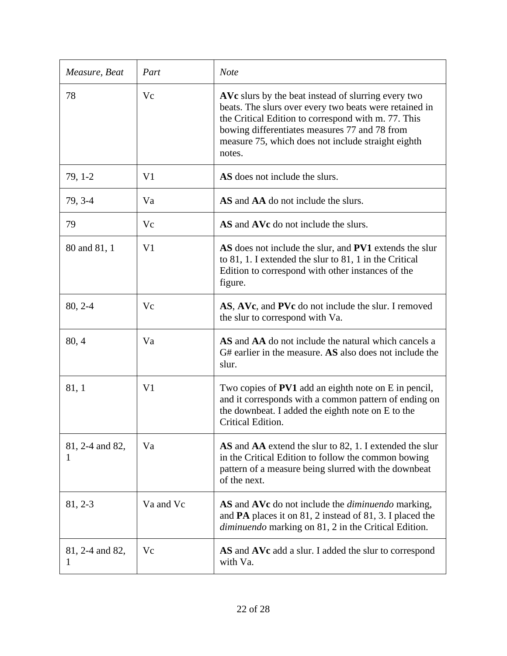| Measure, Beat        | Part           | <b>Note</b>                                                                                                                                                                                                                                                                           |
|----------------------|----------------|---------------------------------------------------------------------------------------------------------------------------------------------------------------------------------------------------------------------------------------------------------------------------------------|
| 78                   | Vc             | AVc slurs by the beat instead of slurring every two<br>beats. The slurs over every two beats were retained in<br>the Critical Edition to correspond with m. 77. This<br>bowing differentiates measures 77 and 78 from<br>measure 75, which does not include straight eighth<br>notes. |
| 79, 1-2              | V <sub>1</sub> | AS does not include the slurs.                                                                                                                                                                                                                                                        |
| 79, 3-4              | Va             | AS and AA do not include the slurs.                                                                                                                                                                                                                                                   |
| 79                   | Vc             | AS and AVc do not include the slurs.                                                                                                                                                                                                                                                  |
| 80 and 81, 1         | V <sub>1</sub> | AS does not include the slur, and PV1 extends the slur<br>to 81, 1. I extended the slur to 81, 1 in the Critical<br>Edition to correspond with other instances of the<br>figure.                                                                                                      |
| 80, 2-4              | Vc             | AS, AVc, and PVc do not include the slur. I removed<br>the slur to correspond with Va.                                                                                                                                                                                                |
| 80, 4                | Va             | <b>AS</b> and <b>AA</b> do not include the natural which cancels a<br>G# earlier in the measure. AS also does not include the<br>slur.                                                                                                                                                |
| 81, 1                | V <sub>1</sub> | Two copies of <b>PV1</b> add an eighth note on E in pencil,<br>and it corresponds with a common pattern of ending on<br>the downbeat. I added the eighth note on E to the<br>Critical Edition.                                                                                        |
| 81, 2-4 and 82,      | Va             | AS and AA extend the slur to 82, 1. I extended the slur<br>in the Critical Edition to follow the common bowing<br>pattern of a measure being slurred with the downbeat<br>of the next.                                                                                                |
| 81, 2-3              | Va and Vc      | <b>AS</b> and <b>AVc</b> do not include the <i>diminuendo</i> marking,<br>and <b>PA</b> places it on 81, 2 instead of 81, 3. I placed the<br><i>diminuendo</i> marking on 81, 2 in the Critical Edition.                                                                              |
| 81, 2-4 and 82,<br>1 | Vc             | AS and AVc add a slur. I added the slur to correspond<br>with Va.                                                                                                                                                                                                                     |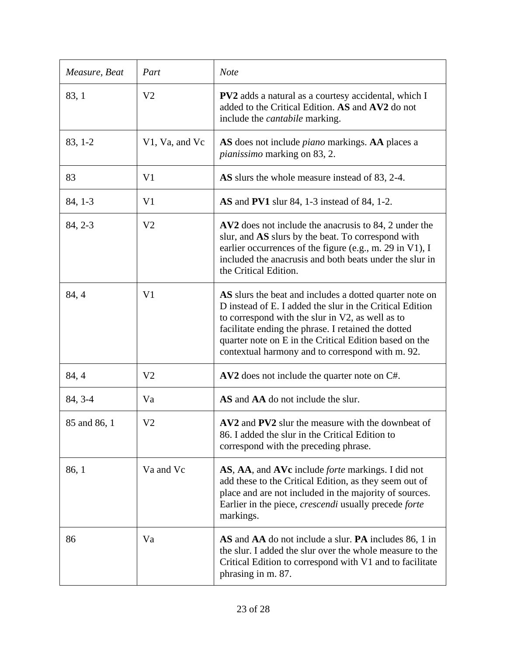| Measure, Beat | Part           | <b>Note</b>                                                                                                                                                                                                                                                                                                                                  |
|---------------|----------------|----------------------------------------------------------------------------------------------------------------------------------------------------------------------------------------------------------------------------------------------------------------------------------------------------------------------------------------------|
| 83, 1         | V <sub>2</sub> | <b>PV2</b> adds a natural as a courtesy accidental, which I<br>added to the Critical Edition. AS and AV2 do not<br>include the <i>cantabile</i> marking.                                                                                                                                                                                     |
| $83, 1-2$     | V1, Va, and Vc | AS does not include <i>piano</i> markings. AA places a<br><i>pianissimo</i> marking on 83, 2.                                                                                                                                                                                                                                                |
| 83            | V <sub>1</sub> | AS slurs the whole measure instead of 83, 2-4.                                                                                                                                                                                                                                                                                               |
| 84, 1-3       | V <sub>1</sub> | <b>AS</b> and <b>PV1</b> slur 84, 1-3 instead of 84, 1-2.                                                                                                                                                                                                                                                                                    |
| 84, 2-3       | V <sub>2</sub> | AV2 does not include the anacrusis to 84, 2 under the<br>slur, and AS slurs by the beat. To correspond with<br>earlier occurrences of the figure (e.g., m. 29 in V1), I<br>included the anacrusis and both beats under the slur in<br>the Critical Edition.                                                                                  |
| 84, 4         | V <sub>1</sub> | AS slurs the beat and includes a dotted quarter note on<br>D instead of E. I added the slur in the Critical Edition<br>to correspond with the slur in V2, as well as to<br>facilitate ending the phrase. I retained the dotted<br>quarter note on E in the Critical Edition based on the<br>contextual harmony and to correspond with m. 92. |
| 84, 4         | V <sub>2</sub> | $AV2$ does not include the quarter note on $C#$ .                                                                                                                                                                                                                                                                                            |
| 84, 3-4       | Va             | AS and AA do not include the slur.                                                                                                                                                                                                                                                                                                           |
| 85 and 86, 1  | V <sub>2</sub> | AV2 and PV2 slur the measure with the downbeat of<br>86. I added the slur in the Critical Edition to<br>correspond with the preceding phrase.                                                                                                                                                                                                |
| 86, 1         | Va and Vc      | AS, AA, and AVc include <i>forte</i> markings. I did not<br>add these to the Critical Edition, as they seem out of<br>place and are not included in the majority of sources.<br>Earlier in the piece, <i>crescendi</i> usually precede forte<br>markings.                                                                                    |
| 86            | Va             | <b>AS</b> and <b>AA</b> do not include a slur. <b>PA</b> includes 86, 1 in<br>the slur. I added the slur over the whole measure to the<br>Critical Edition to correspond with V1 and to facilitate<br>phrasing in m. 87.                                                                                                                     |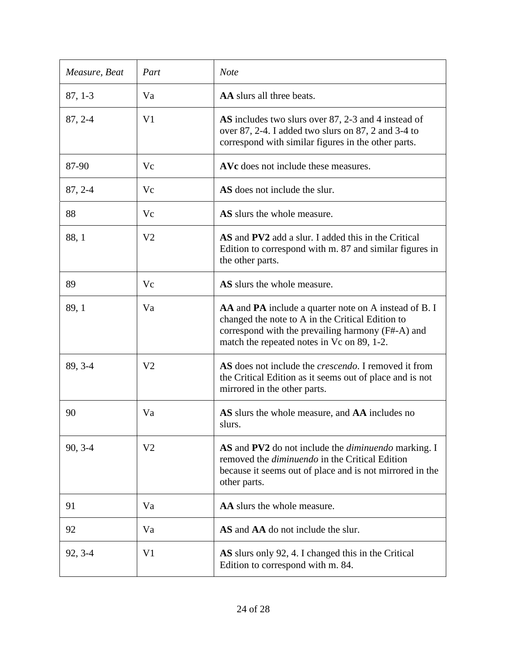| Measure, Beat | Part           | <b>Note</b>                                                                                                                                                                                                                |
|---------------|----------------|----------------------------------------------------------------------------------------------------------------------------------------------------------------------------------------------------------------------------|
| $87, 1-3$     | Va             | AA slurs all three beats.                                                                                                                                                                                                  |
| $87, 2-4$     | V <sub>1</sub> | AS includes two slurs over 87, 2-3 and 4 instead of<br>over 87, 2-4. I added two slurs on 87, 2 and 3-4 to<br>correspond with similar figures in the other parts.                                                          |
| 87-90         | Vc             | AVc does not include these measures.                                                                                                                                                                                       |
| $87, 2 - 4$   | Vc             | AS does not include the slur.                                                                                                                                                                                              |
| 88            | Vc             | AS slurs the whole measure.                                                                                                                                                                                                |
| 88, 1         | V <sub>2</sub> | AS and PV2 add a slur. I added this in the Critical<br>Edition to correspond with m. 87 and similar figures in<br>the other parts.                                                                                         |
| 89            | Vc             | AS slurs the whole measure.                                                                                                                                                                                                |
| 89, 1         | Va             | <b>AA</b> and <b>PA</b> include a quarter note on A instead of B. I<br>changed the note to A in the Critical Edition to<br>correspond with the prevailing harmony (F#-A) and<br>match the repeated notes in Vc on 89, 1-2. |
| 89, 3-4       | V <sub>2</sub> | <b>AS</b> does not include the <i>crescendo</i> . I removed it from<br>the Critical Edition as it seems out of place and is not<br>mirrored in the other parts.                                                            |
| 90            | Va             | AS slurs the whole measure, and AA includes no<br>slurs.                                                                                                                                                                   |
| 90, 3-4       | V <sub>2</sub> | AS and PV2 do not include the <i>diminuendo</i> marking. I<br>removed the <i>diminuendo</i> in the Critical Edition<br>because it seems out of place and is not mirrored in the<br>other parts.                            |
| 91            | Va             | AA slurs the whole measure.                                                                                                                                                                                                |
| 92            | Va             | <b>AS</b> and <b>AA</b> do not include the slur.                                                                                                                                                                           |
| 92, 3-4       | V <sub>1</sub> | AS slurs only 92, 4. I changed this in the Critical<br>Edition to correspond with m. 84.                                                                                                                                   |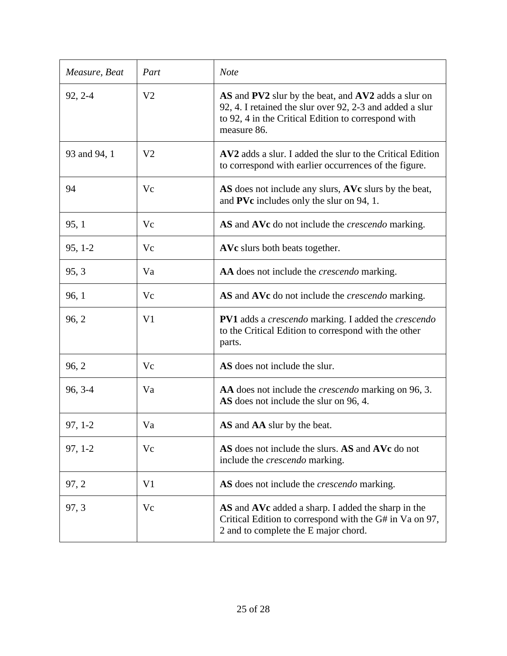| Measure, Beat | Part           | <b>Note</b>                                                                                                                                                                           |
|---------------|----------------|---------------------------------------------------------------------------------------------------------------------------------------------------------------------------------------|
| $92, 2-4$     | V <sub>2</sub> | AS and PV2 slur by the beat, and AV2 adds a slur on<br>92, 4. I retained the slur over 92, 2-3 and added a slur<br>to 92, 4 in the Critical Edition to correspond with<br>measure 86. |
| 93 and 94, 1  | V <sub>2</sub> | AV2 adds a slur. I added the slur to the Critical Edition<br>to correspond with earlier occurrences of the figure.                                                                    |
| 94            | Vc             | AS does not include any slurs, AVc slurs by the beat,<br>and <b>PVc</b> includes only the slur on 94, 1.                                                                              |
| 95, 1         | Vc             | AS and AVc do not include the <i>crescendo</i> marking.                                                                                                                               |
| $95, 1-2$     | Vc             | AVc slurs both beats together.                                                                                                                                                        |
| 95, 3         | Va             | AA does not include the <i>crescendo</i> marking.                                                                                                                                     |
| 96, 1         | Vc             | AS and AVc do not include the <i>crescendo</i> marking.                                                                                                                               |
| 96, 2         | V <sub>1</sub> | <b>PV1</b> adds a <i>crescendo</i> marking. I added the <i>crescendo</i><br>to the Critical Edition to correspond with the other<br>parts.                                            |
| 96, 2         | Vc             | AS does not include the slur.                                                                                                                                                         |
| 96, 3-4       | Va             | AA does not include the <i>crescendo</i> marking on 96, 3.<br>AS does not include the slur on 96, 4.                                                                                  |
| $97, 1-2$     | Va             | AS and AA slur by the beat.                                                                                                                                                           |
| 97, 1-2       | Vc             | AS does not include the slurs. AS and AVc do not<br>include the <i>crescendo</i> marking.                                                                                             |
| 97, 2         | V <sub>1</sub> | AS does not include the <i>crescendo</i> marking.                                                                                                                                     |
| 97, 3         | Vc             | AS and AVc added a sharp. I added the sharp in the<br>Critical Edition to correspond with the G# in Va on 97,<br>2 and to complete the E major chord.                                 |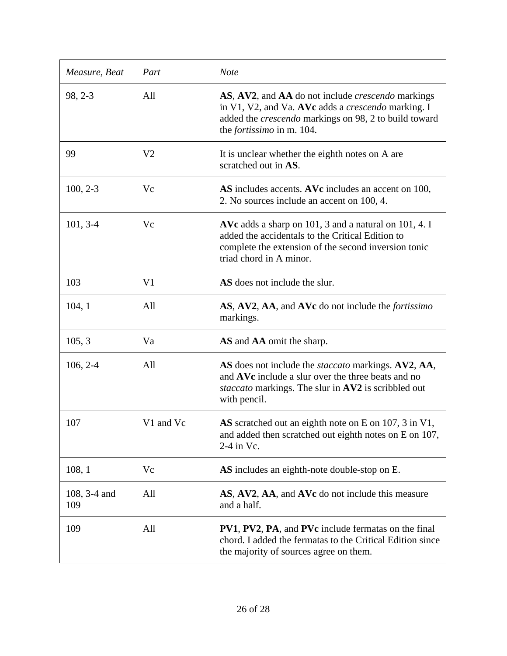| Measure, Beat       | Part           | <b>Note</b>                                                                                                                                                                                                               |
|---------------------|----------------|---------------------------------------------------------------------------------------------------------------------------------------------------------------------------------------------------------------------------|
| 98, 2-3             | All            | AS, AV2, and AA do not include <i>crescendo</i> markings<br>in V1, V2, and Va. AVc adds a <i>crescendo</i> marking. I<br>added the <i>crescendo</i> markings on 98, 2 to build toward<br>the <i>fortissimo</i> in m. 104. |
| 99                  | V <sub>2</sub> | It is unclear whether the eighth notes on A are<br>scratched out in AS.                                                                                                                                                   |
| $100, 2-3$          | Vc             | AS includes accents. AVc includes an accent on 100,<br>2. No sources include an accent on 100, 4.                                                                                                                         |
| $101, 3-4$          | Vc             | AVc adds a sharp on $101$ , 3 and a natural on $101$ , 4. I<br>added the accidentals to the Critical Edition to<br>complete the extension of the second inversion tonic<br>triad chord in A minor.                        |
| 103                 | V <sub>1</sub> | AS does not include the slur.                                                                                                                                                                                             |
| 104, 1              | All            | AS, AV2, AA, and AVc do not include the <i>fortissimo</i><br>markings.                                                                                                                                                    |
| 105, 3              | Va             | AS and AA omit the sharp.                                                                                                                                                                                                 |
| $106, 2-4$          | All            | AS does not include the <i>staccato</i> markings. AV2, AA,<br>and AVc include a slur over the three beats and no<br>staccato markings. The slur in AV2 is scribbled out<br>with pencil.                                   |
| 107                 | V1 and Vc      | AS scratched out an eighth note on E on 107, 3 in V1,<br>and added then scratched out eighth notes on E on 107,<br>$2-4$ in Vc.                                                                                           |
| 108, 1              | Vc             | AS includes an eighth-note double-stop on E.                                                                                                                                                                              |
| 108, 3-4 and<br>109 | All            | AS, AV2, AA, and AVc do not include this measure<br>and a half.                                                                                                                                                           |
| 109                 | All            | PV1, PV2, PA, and PVc include fermatas on the final<br>chord. I added the fermatas to the Critical Edition since<br>the majority of sources agree on them.                                                                |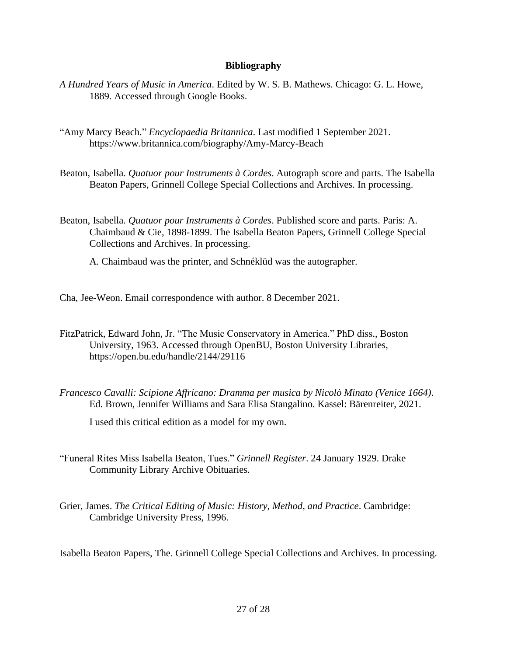# **Bibliography**

- *A Hundred Years of Music in America*. Edited by W. S. B. Mathews. Chicago: G. L. Howe, 1889. Accessed through Google Books.
- "Amy Marcy Beach." *Encyclopaedia Britannica*. Last modified 1 September 2021. https://www.britannica.com/biography/Amy-Marcy-Beach
- Beaton, Isabella. *Quatuor pour Instruments à Cordes*. Autograph score and parts. The Isabella Beaton Papers, Grinnell College Special Collections and Archives. In processing.
- Beaton, Isabella. *Quatuor pour Instruments à Cordes*. Published score and parts. Paris: A. Chaimbaud & Cie, 1898-1899. The Isabella Beaton Papers, Grinnell College Special Collections and Archives. In processing.

A. Chaimbaud was the printer, and Schnéklüd was the autographer.

Cha, Jee-Weon. Email correspondence with author. 8 December 2021.

- FitzPatrick, Edward John, Jr. "The Music Conservatory in America." PhD diss., Boston University, 1963. Accessed through OpenBU, Boston University Libraries, https://open.bu.edu/handle/2144/29116
- *Francesco Cavalli: Scipione Affricano: Dramma per musica by Nicolò Minato (Venice 1664)*. Ed. Brown, Jennifer Williams and Sara Elisa Stangalino. Kassel: Bärenreiter, 2021.

I used this critical edition as a model for my own.

- "Funeral Rites Miss Isabella Beaton, Tues." *Grinnell Register*. 24 January 1929. Drake Community Library Archive Obituaries.
- Grier, James. *The Critical Editing of Music: History, Method, and Practice*. Cambridge: Cambridge University Press, 1996.

Isabella Beaton Papers, The. Grinnell College Special Collections and Archives. In processing.